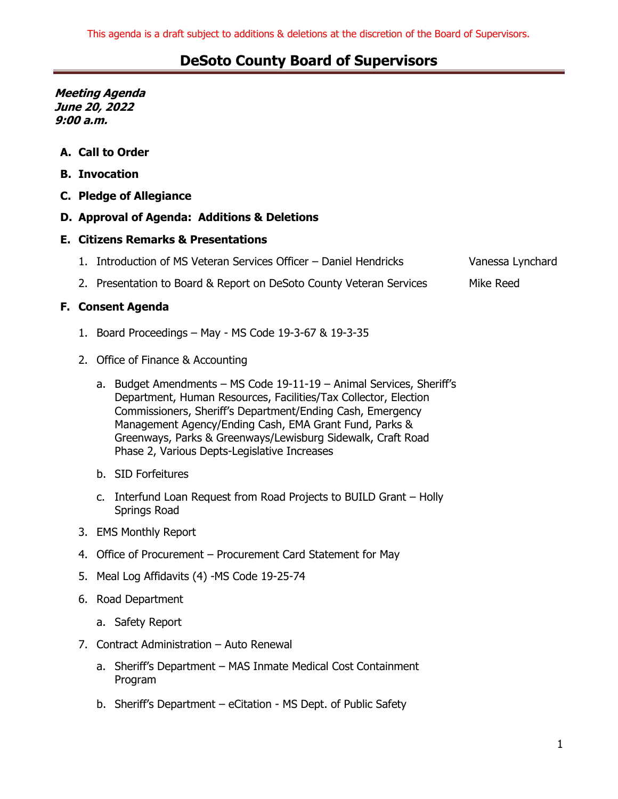**Meeting Agenda June 20, 2022 9:00 a.m.**

- **A. Call to Order**
- **B. Invocation**
- **C. Pledge of Allegiance**

### **D. Approval of Agenda: Additions & Deletions**

#### **E. Citizens Remarks & Presentations**

- 1. Introduction of MS Veteran Services Officer Daniel Hendricks Vanessa Lynchard
- 2. Presentation to Board & Report on DeSoto County Veteran Services Mike Reed

### **F. Consent Agenda**

- 1. Board Proceedings May MS Code 19-3-67 & 19-3-35
- 2. Office of Finance & Accounting
	- a. Budget Amendments MS Code 19-11-19 Animal Services, Sheriff's Department, Human Resources, Facilities/Tax Collector, Election Commissioners, Sheriff's Department/Ending Cash, Emergency Management Agency/Ending Cash, EMA Grant Fund, Parks & Greenways, Parks & Greenways/Lewisburg Sidewalk, Craft Road Phase 2, Various Depts-Legislative Increases
	- b. SID Forfeitures
	- c. Interfund Loan Request from Road Projects to BUILD Grant Holly Springs Road
- 3. EMS Monthly Report
- 4. Office of Procurement Procurement Card Statement for May
- 5. Meal Log Affidavits (4) -MS Code 19-25-74
- 6. Road Department
	- a. Safety Report
- 7. Contract Administration Auto Renewal
	- a. Sheriff's Department MAS Inmate Medical Cost Containment Program
	- b. Sheriff's Department eCitation MS Dept. of Public Safety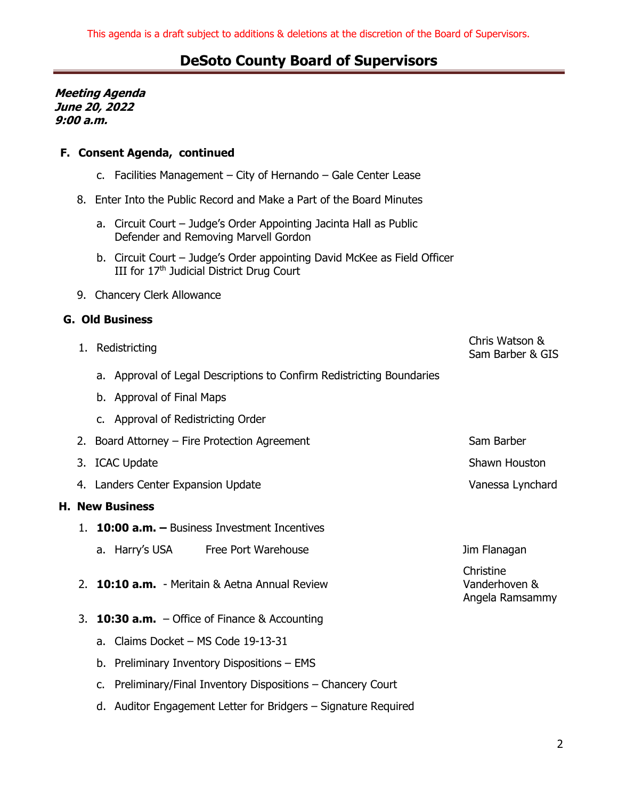**Meeting Agenda June 20, 2022 9:00 a.m.**

### **F. Consent Agenda, continued**

- c. Facilities Management City of Hernando Gale Center Lease
- 8. Enter Into the Public Record and Make a Part of the Board Minutes
	- a. Circuit Court Judge's Order Appointing Jacinta Hall as Public Defender and Removing Marvell Gordon
	- b. Circuit Court Judge's Order appointing David McKee as Field Officer III for 17<sup>th</sup> Judicial District Drug Court
- 9. Chancery Clerk Allowance

#### **G. Old Business**

**H. New Business**

|                     |                                                      | 1. Redistricting                                                      | Chris Watson &<br>Sam Barber & GIS            |  |  |
|---------------------|------------------------------------------------------|-----------------------------------------------------------------------|-----------------------------------------------|--|--|
|                     |                                                      | a. Approval of Legal Descriptions to Confirm Redistricting Boundaries |                                               |  |  |
|                     |                                                      | b. Approval of Final Maps                                             |                                               |  |  |
|                     |                                                      | c. Approval of Redistricting Order                                    |                                               |  |  |
|                     |                                                      | 2. Board Attorney – Fire Protection Agreement                         | Sam Barber                                    |  |  |
|                     |                                                      | 3. ICAC Update                                                        | Shawn Houston                                 |  |  |
|                     |                                                      | 4. Landers Center Expansion Update                                    | Vanessa Lynchard                              |  |  |
| <b>New Business</b> |                                                      |                                                                       |                                               |  |  |
|                     |                                                      | 10:00 a.m. - Business Investment Incentives                           |                                               |  |  |
|                     |                                                      | a. Harry's USA Free Port Warehouse                                    | Jim Flanagan                                  |  |  |
| 2 <sub>1</sub>      |                                                      | 10:10 a.m. - Meritain & Aetna Annual Review                           | Christine<br>Vanderhoven &<br>Angela Ramsammy |  |  |
| 3.                  | <b>10:30 a.m.</b> $-$ Office of Finance & Accounting |                                                                       |                                               |  |  |
|                     | a.                                                   | Claims Docket - MS Code 19-13-31                                      |                                               |  |  |
|                     |                                                      | b. Preliminary Inventory Dispositions - EMS                           |                                               |  |  |
|                     | c.                                                   | Preliminary/Final Inventory Dispositions - Chancery Court             |                                               |  |  |
|                     |                                                      | d. Auditor Engagement Letter for Bridgers – Signature Required        |                                               |  |  |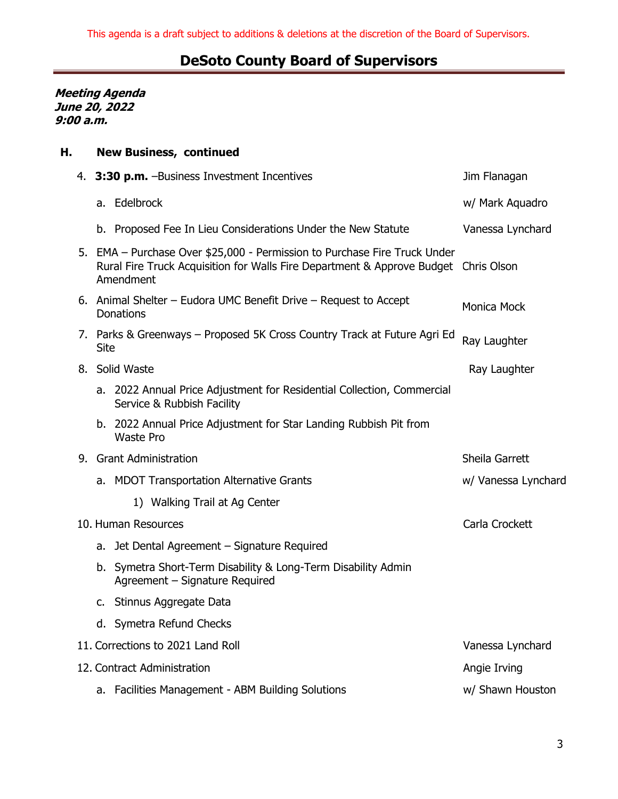**Meeting Agenda June 20, 2022 9:00 a.m.**

## **H. New Business, continued**

|  |      | 4. 3:30 p.m. - Business Investment Incentives                                                                                                                                 | Jim Flanagan        |
|--|------|-------------------------------------------------------------------------------------------------------------------------------------------------------------------------------|---------------------|
|  |      | a. Edelbrock                                                                                                                                                                  | w/ Mark Aquadro     |
|  |      | b. Proposed Fee In Lieu Considerations Under the New Statute                                                                                                                  | Vanessa Lynchard    |
|  |      | 5. EMA - Purchase Over \$25,000 - Permission to Purchase Fire Truck Under<br>Rural Fire Truck Acquisition for Walls Fire Department & Approve Budget Chris Olson<br>Amendment |                     |
|  |      | 6. Animal Shelter - Eudora UMC Benefit Drive - Request to Accept<br><b>Donations</b>                                                                                          | Monica Mock         |
|  | Site | 7. Parks & Greenways - Proposed 5K Cross Country Track at Future Agri Ed                                                                                                      | Ray Laughter        |
|  |      | 8. Solid Waste                                                                                                                                                                | Ray Laughter        |
|  |      | a. 2022 Annual Price Adjustment for Residential Collection, Commercial<br>Service & Rubbish Facility                                                                          |                     |
|  |      | b. 2022 Annual Price Adjustment for Star Landing Rubbish Pit from<br><b>Waste Pro</b>                                                                                         |                     |
|  |      | 9. Grant Administration                                                                                                                                                       | Sheila Garrett      |
|  |      | a. MDOT Transportation Alternative Grants                                                                                                                                     | w/ Vanessa Lynchard |
|  |      | 1) Walking Trail at Ag Center                                                                                                                                                 |                     |
|  |      | 10. Human Resources                                                                                                                                                           | Carla Crockett      |
|  |      | a. Jet Dental Agreement - Signature Required                                                                                                                                  |                     |
|  |      | b. Symetra Short-Term Disability & Long-Term Disability Admin<br>Agreement - Signature Required                                                                               |                     |
|  |      | c. Stinnus Aggregate Data                                                                                                                                                     |                     |
|  |      | d. Symetra Refund Checks                                                                                                                                                      |                     |
|  |      | 11. Corrections to 2021 Land Roll                                                                                                                                             | Vanessa Lynchard    |
|  |      | 12. Contract Administration                                                                                                                                                   | Angie Irving        |
|  |      | a. Facilities Management - ABM Building Solutions                                                                                                                             | w/ Shawn Houston    |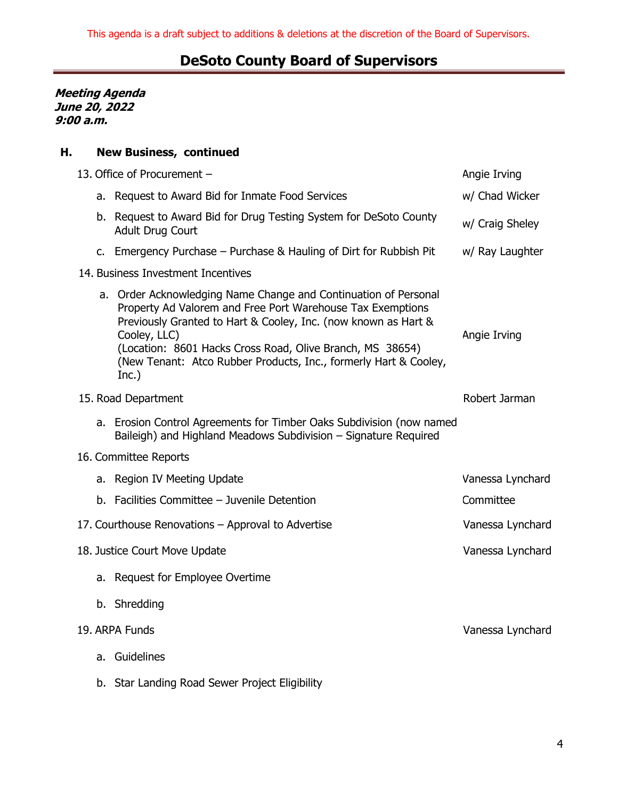**Meeting Agenda June 20, 2022 9:00 a.m.**

## **H. New Business, continued**

|                       |                               | 13. Office of Procurement -                                                                                                                                                                                                                                                                                                                               | Angie Irving     |  |  |
|-----------------------|-------------------------------|-----------------------------------------------------------------------------------------------------------------------------------------------------------------------------------------------------------------------------------------------------------------------------------------------------------------------------------------------------------|------------------|--|--|
|                       |                               | a. Request to Award Bid for Inmate Food Services                                                                                                                                                                                                                                                                                                          | w/ Chad Wicker   |  |  |
|                       |                               | b. Request to Award Bid for Drug Testing System for DeSoto County<br><b>Adult Drug Court</b>                                                                                                                                                                                                                                                              | w/ Craig Sheley  |  |  |
|                       |                               | c. Emergency Purchase – Purchase & Hauling of Dirt for Rubbish Pit                                                                                                                                                                                                                                                                                        | w/ Ray Laughter  |  |  |
|                       |                               | 14. Business Investment Incentives                                                                                                                                                                                                                                                                                                                        |                  |  |  |
|                       |                               | a. Order Acknowledging Name Change and Continuation of Personal<br>Property Ad Valorem and Free Port Warehouse Tax Exemptions<br>Previously Granted to Hart & Cooley, Inc. (now known as Hart &<br>Cooley, LLC)<br>(Location: 8601 Hacks Cross Road, Olive Branch, MS 38654)<br>(New Tenant: Atco Rubber Products, Inc., formerly Hart & Cooley,<br>Inc.) | Angie Irving     |  |  |
|                       | 15. Road Department           | Robert Jarman                                                                                                                                                                                                                                                                                                                                             |                  |  |  |
|                       |                               | a. Erosion Control Agreements for Timber Oaks Subdivision (now named<br>Baileigh) and Highland Meadows Subdivision - Signature Required                                                                                                                                                                                                                   |                  |  |  |
| 16. Committee Reports |                               |                                                                                                                                                                                                                                                                                                                                                           |                  |  |  |
|                       |                               | a. Region IV Meeting Update                                                                                                                                                                                                                                                                                                                               | Vanessa Lynchard |  |  |
|                       |                               | b. Facilities Committee - Juvenile Detention                                                                                                                                                                                                                                                                                                              | Committee        |  |  |
|                       |                               | 17. Courthouse Renovations - Approval to Advertise                                                                                                                                                                                                                                                                                                        | Vanessa Lynchard |  |  |
|                       | 18. Justice Court Move Update | Vanessa Lynchard                                                                                                                                                                                                                                                                                                                                          |                  |  |  |
|                       |                               | a. Request for Employee Overtime                                                                                                                                                                                                                                                                                                                          |                  |  |  |
|                       |                               | b. Shredding                                                                                                                                                                                                                                                                                                                                              |                  |  |  |
| 19. ARPA Funds        | Vanessa Lynchard              |                                                                                                                                                                                                                                                                                                                                                           |                  |  |  |
|                       |                               | a. Guidelines                                                                                                                                                                                                                                                                                                                                             |                  |  |  |
|                       |                               |                                                                                                                                                                                                                                                                                                                                                           |                  |  |  |

b. Star Landing Road Sewer Project Eligibility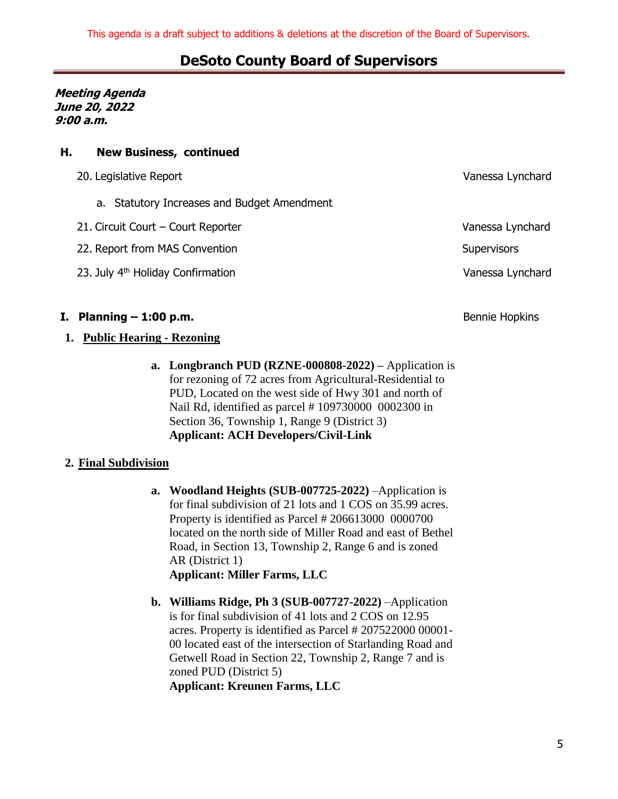**Meeting Agenda June 20, 2022 9:00 a.m.**

### **H. New Business, continued**

| 20. Legislative Report                        | Vanessa Lynchard   |
|-----------------------------------------------|--------------------|
| a. Statutory Increases and Budget Amendment   |                    |
| 21. Circuit Court - Court Reporter            | Vanessa Lynchard   |
| 22. Report from MAS Convention                | <b>Supervisors</b> |
| 23. July 4 <sup>th</sup> Holiday Confirmation | Vanessa Lynchard   |
|                                               |                    |
|                                               |                    |

## **I. Planning – 1:00 p.m.** Bennie Hopkins Bennie Hopkins

#### **1. Public Hearing - Rezoning**

**a. Longbranch PUD (RZNE-000808-2022) –** Application is for rezoning of 72 acres from Agricultural-Residential to PUD, Located on the west side of Hwy 301 and north of Nail Rd, identified as parcel # 109730000 0002300 in Section 36, Township 1, Range 9 (District 3) **Applicant: ACH Developers/Civil-Link**

#### **2. Final Subdivision**

- **a. Woodland Heights (SUB-007725-2022)** –Application is for final subdivision of 21 lots and 1 COS on 35.99 acres. Property is identified as Parcel # 206613000 0000700 located on the north side of Miller Road and east of Bethel Road, in Section 13, Township 2, Range 6 and is zoned AR (District 1) **Applicant: Miller Farms, LLC**
- **b. Williams Ridge, Ph 3 (SUB-007727-2022)** –Application is for final subdivision of 41 lots and 2 COS on 12.95 acres. Property is identified as Parcel # 207522000 00001- 00 located east of the intersection of Starlanding Road and Getwell Road in Section 22, Township 2, Range 7 and is zoned PUD (District 5) **Applicant: Kreunen Farms, LLC**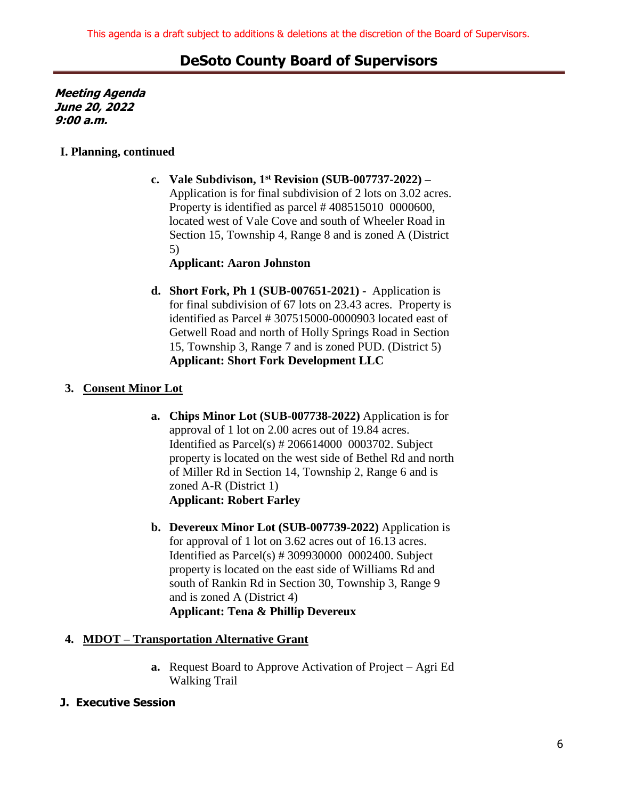**Meeting Agenda June 20, 2022 9:00 a.m.**

### **I. Planning, continued**

**c. Vale Subdivison, 1st Revision (SUB-007737-2022) –** Application is for final subdivision of 2 lots on 3.02 acres. Property is identified as parcel # 408515010 0000600, located west of Vale Cove and south of Wheeler Road in Section 15, Township 4, Range 8 and is zoned A (District 5)

### **Applicant: Aaron Johnston**

**d. Short Fork, Ph 1 (SUB-007651-2021) -** Application is for final subdivision of 67 lots on 23.43 acres. Property is identified as Parcel # 307515000-0000903 located east of Getwell Road and north of Holly Springs Road in Section 15, Township 3, Range 7 and is zoned PUD. (District 5) **Applicant: Short Fork Development LLC**

## **3. Consent Minor Lot**

- **a. Chips Minor Lot (SUB-007738-2022)** Application is for approval of 1 lot on 2.00 acres out of 19.84 acres. Identified as Parcel(s) # 206614000 0003702. Subject property is located on the west side of Bethel Rd and north of Miller Rd in Section 14, Township 2, Range 6 and is zoned A-R (District 1) **Applicant: Robert Farley**
- **b. Devereux Minor Lot (SUB-007739-2022)** Application is for approval of 1 lot on 3.62 acres out of 16.13 acres. Identified as Parcel(s) # 309930000 0002400. Subject property is located on the east side of Williams Rd and south of Rankin Rd in Section 30, Township 3, Range 9 and is zoned A (District 4) **Applicant: Tena & Phillip Devereux**

## **4. MDOT – Transportation Alternative Grant**

**a.** Request Board to Approve Activation of Project – Agri Ed Walking Trail

## **J. Executive Session**